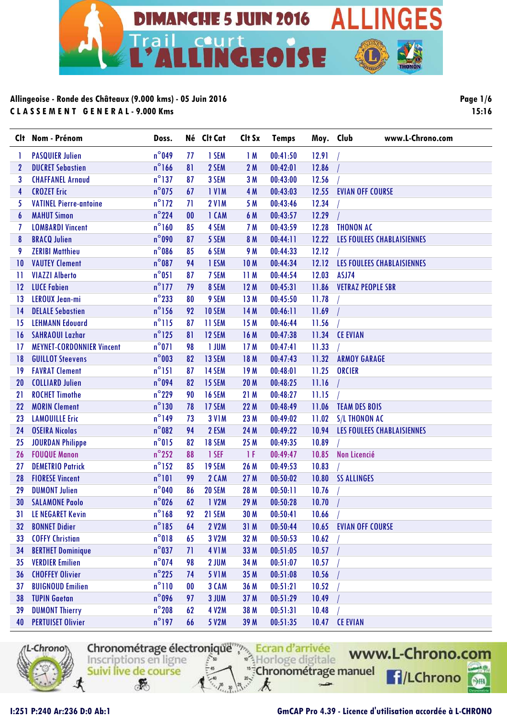

**Clt Nom - Prénom Doss. Né Clt Cat Clt Sx Temps Moy. Club www.L-Chrono.com** 1 PASQUIER Julien n°049 77 1 SEM 1 M 00:41:50 12.91 / 2 DUCRET Sebastien n°166 81 2 SEM 2 M 00:42:01 12.86 / 3 CHAFFANEL Arnaud n°137 87 3 SEM 3 M 00:43:00 12.56 / 4 CROZET Eric n°075 67 1 V1M 4 M 00:43:03 12.55 EVIAN OFF COURSE 5 VATINEL Pierre-antoine n°172 71 2 V1M 5 M 00:43:46 12.34 / 6 MAHUT Simon n°224 00 1 CAM 6 M 00:43:57 12.29 / 7 LOMBARDI Vincent n°160 85 4 SEM 7 M 00:43:59 12.28 THONON AC 8 BRACQ Julien n°090 87 5 SEM 8 M 00:44:11 12.22 LES FOULEES CHABLAISIENNES 9 ZERIBI Matthieu n°086 85 6 SEM 9 M 00:44:33 12.12 / 10 VAUTEY Clement n°087 94 1 ESM 10 M 00:44:34 12.12 LES FOULEES CHABLAISIENNES 11 VIAZZI Alberto n°051 87 7 SEM 11 M 00:44:54 12.03 ASJ74 12 LUCE Fabien n°177 79 8 SEM 12 M 00:45:31 11.86 VETRAZ PEOPLE SBR 13 LEROUX Jean-mi n°233 80 9 SEM 13 M 00:45:50 11.78 / 14 DELALE Sebastien n°156 92 10 SEM 14 M 00:46:11 11.69 / 15 LEHMANN Edouard 15 m<sup>o</sup>115 87 11 SEM 15 M 00:46:44 11.56 16 SAHRAOUI Lazhar n°125 81 12 SEM 16 M 00:47:38 11.34 CE EVIAN 17 MEYNET-CORDONNIER Vincent n°071 98 1 JUM 17 M 00:47:41 11.33 / 18 GUILLOT Steevens n°003 82 13 SEM 18 M 00:47:43 11.32 ARMOY GARAGE 19 FAVRAT Clement n°151 87 14 SEM 19 M 00:48:01 11.25 ORCIER 20 COLLIARD Julien n°094 82 15 SEM 20 M 00:48:25 11.16 / 21 ROCHET Timothe n°229 90 16 SEM 21 M 00:48:27 11.15 / 22 MORIN Clement n°130 78 17 SEM 22 M 00:48:49 11.06 TEAM DES BOIS 23 LAMOUILLE Eric n°149 73 3 V1M 23 M 00:49:02 11.02 S/L THONON AC 24 OSEIRA Nicolas n°082 94 2 ESM 24 M 00:49:22 10.94 LES FOULEES CHABLAISIENNES 25 JOURDAN Philippe  $n^{\circ}$ 015 82 18 SEM 25 M 00:49:35 10.89 26 FOUQUE Manon n°252 88 1 SEF 1 F 00:49:47 10.85 Non Licencié 27 DEMETRIO Patrick n°152 85 19 SEM 26 M 00:49:53 10.83 / 28 FIORESE Vincent n°101 99 2 CAM 27 M 00:50:02 10.80 SS ALLINGES 29 DUMONT Julien n°040 86 20 SEM 28 M 00:50:11 10.76 / 30 SALAMONE Paolo n°026 62 1 V2M 29 M 00:50:28 10.70 / 31 LE NEGARET Kevin n°168 92 21 SEM 30 M 00:50:41 10.66 / 32 BONNET Didier n°185 64 2 V2M 31 M 00:50:44 10.65 EVIAN OFF COURSE 33 COFFY Christian n°018 65 3 V2M 32 M 00:50:53 10.62 / 34 BERTHET Dominique n°037 71 4 V1M 33 M 00:51:05 10.57 / 35 VERDIER Emilien n°074 98 2 JUM 34 M 00:51:07 10.57 / 36 CHOFFEY Olivier n°225 74 5 V1M 35 M 00:51:08 10.56 / 37 BUIGNOUD Emilien n°110 00 3 CAM 36 M 00:51:21 10.52 / 38 TUPIN Gaetan n°096 97 3 JUM 37 M 00:51:29 10.49 / 39 DUMONT Thierry n°208 62 4 V2M 38 M 00:51:31 10.48 / 40 PERTUISET Olivier n°197 66 5 V2M 39 M 00:51:35 10.47 CE EVIAN



Chronométrage électronique Ecran d'arrivée <sup>®</sup>}Horloge digitale Inscriptions en ligne "Chronométrage manuel Suivi live de course

 $\mathbf{r}$ 



 $rac{1}{2}$ 

**Page 1/6 15:16**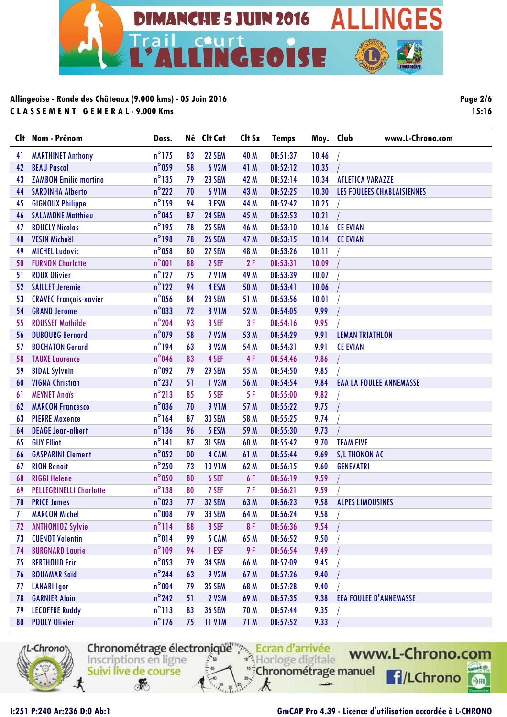

**Clt Nom - Prénom Doss. Né Clt Cat Clt Sx Temps Moy. Club www.L-Chrono.com** 41 MARTHINET Anthony n°175 83 22 SEM 40 M 00:51:37 10.46 / 42 BEAU Pascal n°059 58 6 V2M 41 M 00:52:12 10.35 / 43 ZAMBON Emilio martino n°135 79 23 SEM 42 M 00:52:14 10.34 ATLETICA VARAZZE 44 SARDINHA Alberto n°222 70 6 V1M 43 M 00:52:25 10.30 LES FOULEES CHABLAISIENNES 45 GIGNOUX Philippe n°159 94 3 ESM 44 M 00:52:42 10.25 / 46 SALAMONE Matthieu n°045 87 24 SEM 45 M 00:52:53 10.21 / 47 BOUCLY Nicolas n°195 78 25 SEM 46 M 00:53:10 10.16 CE EVIAN 48 VESIN Michaël n°198 78 26 SEM 47 M 00:53:15 10.14 CE EVIAN 49 MICHEL Ludovic n°058 80 27 SEM 48 M 00:53:26 10.11 / 50 FURNON Charlotte n°001 88 2 SEF 2 F 00:53:31 10.09 / 51 ROUX Olivier n°127 75 7 V1M 49 M 00:53:39 10.07 / 52 SAILLET Jeremie n°122 94 4 ESM 50 M 00:53:41 10.06 / 53 CRAVEC François-xavier n°056 84 28 SEM 51 M 00:53:56 10.01 / 54 GRAND Jerome n°033 72 8 V1M 52 M 00:54:05 9.99 / 55 ROUSSET Mathilde n°204 93 3 SEF 3 F 00:54:16 9.95 / 56 DUBOURG Bernard n°079 58 7 V2M 53 M 00:54:29 9.91 LEMAN TRIATHLON 57 BOCHATON Gerard n°194 63 8 V2M 54 M 00:54:31 9.91 CE EVIAN 58 TAUXE Laurence n°046 83 4 SEF 4 F 00:54:46 9.86 / 59 BIDAL Sylvain n°092 79 29 SEM 55 M 00:54:50 9.85 / 60 VIGNA Christian n°237 51 1 V3M 56 M 00:54:54 9.84 EAA LA FOULEE ANNEMASSE 61 MEYNET Anaïs n°213 85 5 SEF 5 F 00:55:00 9.82 / 62 MARCON Francesco n°036 70 9 V1M 57 M 00:55:22 9.75 / 63 PIERRE Maxence n°164 87 30 SEM 58 M 00:55:25 9.74 / 64 DEAGE Jean-albert n°136 96 5 ESM 59 M 00:55:30 9.73 / 65 GUY Elliot n°141 87 31 SEM 60 M 00:55:42 9.70 TEAM FIVE 66 GASPARINI Clement n°052 00 4 CAM 61 M 00:55:44 9.69 S/L THONON AC 67 RION Benoit n°250 73 10 V1M 62 M 00:56:15 9.60 GENEVATRI 68 RIGGI Helene n°050 80 6 SEF 6 F 00:56:19 9.59 / 69 PELLEGRINELLI Charlotte n°138 80 7 SEF 7 F 00:56:21 9.59 / 70 PRICE James n°023 77 32 SEM 63 M 00:56:23 9.58 ALPES LIMOUSINES 71 MARCON Michel n°008 79 33 SEM 64 M 00:56:24 9.58 / 72 ANTHONIOZ Sylvie 19114 88 8 SEF 8 F 00:56:36 9.54 73 CUENOT Valentin n°014 99 5 CAM 65 M 00:56:52 9.50 / 74 BURGNARD Laurie n°109 94 1 ESF 9 F 00:56:54 9.49 / 75 BERTHOUD Eric n°053 79 34 SEM 66 M 00:57:09 9.45 / 76 BOUAMAR Saïd n°244 63 9 V2M 67 M 00:57:26 9.40 / 77 LANARI Igor n°004 79 35 SEM 68 M 00:57:28 9.40 / 78 GARNIER Alain n°242 51 2 V3M 69 M 00:57:35 9.38 EEA FOULEE D'ANNEMASSE 79 LECOFFRE Ruddy n°113 83 36 SEM 70 M 00:57:44 9.35 / 80 POULY Olivier **n°176 75 11 V1M 71 M** 00:57:52 9.33 /



Chronométrage électronique<br>
Inscriptions en ligne<br>
Suivi live de course "Chronométrage manuel Suivi live de course  $\mathbf{r}$ 

www.L-Chrono.com **H**/LChrono  $rac{1}{2}$ 

**Page 2/6 15:16**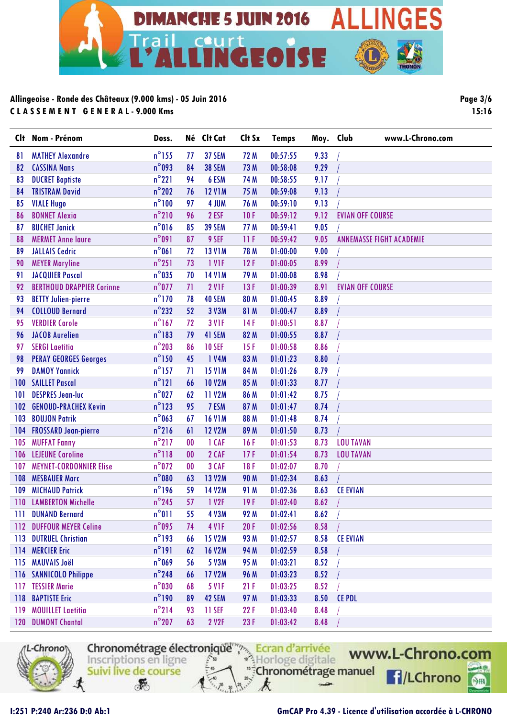

**Clt Nom - Prénom Doss. Né Clt Cat Clt Sx Temps Moy. Club www.L-Chrono.com** 81 MATHEY Alexandre 1988 1991 12 m<sup>o</sup> 155 17 37 SEM 172 M 00:57:55 9.33 82 CASSINA Nans n°093 84 38 SEM 73 M 00:58:08 9.29 / 83 DUCRET Baptiste **n**°221 94 6 ESM 74 M 00:58:55 9.17 84 TRISTRAM David n°202 76 12 V1M 75 M 00:59:08 9.13 / 85 VIALE Hugo n°100 97 4 JUM 76 M 00:59:10 9.13 / 86 BONNET Alexia n°210 96 2 ESF 10 F 00:59:12 9.12 EVIAN OFF COURSE 87 BUCHET Janick n°016 85 39 SEM 77 M 00:59:41 9.05 / 88 MERMET Anne laure n°091 87 9 SEF 11 F 00:59:42 9.05 ANNEMASSE FIGHT ACADEMIE 89 JALLAIS Cedric n°061 72 13 V1M 78 M 01:00:00 9.00 / 90 MEYER Maryline 12 F 01:00:05 8.99 91 JACQUIER Pascal n°035 70 14 V1M 79 M 01:00:08 8.98 / 92 BERTHOUD DRAPPIER Corinne n°077 71 2 V1F 13 F 01:00:39 8.91 EVIAN OFF COURSE 93 BETTY Julien-pierre 10 m<sup>o</sup>170 78 40 SEM 80 M 01:00:45 8.89 94 COLLOUD Bernard n°232 52 3 V3M 81 M 01:00:47 8.89 / 95 VERDIER Carole 19 167 72 3 VIF 14 F 01:00:51 8.87 96 JACOB Aurelien n°183 79 41 SEM 82 M 01:00:55 8.87 / 97 SERGI Laetitia n°203 86 10 SEF 15 F 01:00:58 8.86 / 98 PERAY GEORGES Georges n°150 45 1 V4M 83 M 01:01:23 8.80 / 99 DAMOY Yannick n°157 71 15 V1M 84 M 01:01:26 8.79 / 100 SAILLET Pascal n°121 66 10 V2M 85 M 01:01:33 8.77 / 101 DESPRES Jean-luc n°027 62 11 V2M 86 M 01:01:42 8.75 / 102 GENOUD-PRACHEX Kevin n°123 95 7 ESM 87 M 01:01:47 8.74 / 103 BOUJON Patrik n°063 67 16 V1M 88 M 01:01:48 8.74 / 104 FROSSARD Jean-pierre n°216 61 12 V2M 89 M 01:01:50 8.73 / 105 MUFFAT Fanny n°217 00 1 CAF 16 F 01:01:53 8.73 LOU TAVAN 106 LEJEUNE Caroline 10 10 118 00 2 CAF 17 F 01:01:54 8.73 LOU TAVAN 107 MEYNET-CORDONNIER Elise n°072 00 3 CAF 18 F 01:02:07 8.70 / 108 MESBAUER Marc n°080 63 13 V2M 90 M 01:02:34 8.63 / 109 MICHAUD Patrick n°196 59 14 V2M 91 M 01:02:36 8.63 CE EVIAN 110 LAMBERTON Michelle 1982 19945 67 1 V2F 19 F 01:02:40 8.62 111 DUNAND Bernard n°011 55 4 V3M 92 M 01:02:41 8.62 / 112 DUFFOUR MEYER Celine n°095 74 4 V1F 20 F 01:02:56 8.58 / 113 DUTRUEL Christian n°193 66 15 V2M 93 M 01:02:57 8.58 CE EVIAN 114 MERCIER Eric n°191 62 16 V2M 94 M 01:02:59 8.58 / 115 MAUVAIS Joël n°069 56 5 V3M 95 M 01:03:21 8.52 / 116 SANNICOLO Philippe n°248 66 17 V2M 96 M 01:03:23 8.52 / 117 TESSIER Marie 117 TESSIER Marie 117 TESSIER Marie 117 TESSIER Marie 11 118 BAPTISTE Eric n°190 89 42 SEM 97 M 01:03:33 8.50 CE PDL 119 MOUILLET Laetitia n°214 93 11 SEF 22 F 01:03:40 8.48 / 120 DUMONT Chantal n°207 63 2 V2F 23 F 01:03:42 8.48 /



Chronométrage électronique Ecran d'arrivée Horloge digitale Inscriptions en ligne "Chronométrage manuel Suivi live de course

F

www.L-Chrono.com **H**/LChrono

 $\circ$ 

**Page 3/6 15:16**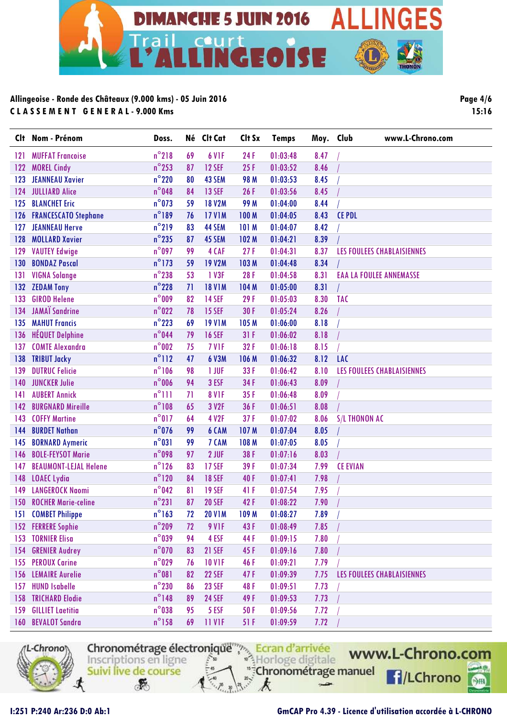

| Clt              | Nom - Prénom                 | Doss.           |    | Né Clt Cat    | Clt Sx      | <b>Temps</b> | Moy. Club | www.L-Chrono.com               |
|------------------|------------------------------|-----------------|----|---------------|-------------|--------------|-----------|--------------------------------|
| 121              | <b>MUFFAT Francoise</b>      | $n^{\circ}$ 218 | 69 | 6 VIF         | 24F         | 01:03:48     | 8.47      |                                |
| 122              | <b>MOREL Cindy</b>           | $n^{\circ}$ 253 | 87 | <b>12 SEF</b> | 25F         | 01:03:52     | 8.46      |                                |
| 123              | <b>JEANNEAU Xavier</b>       | $n^{\circ}$ 220 | 80 | 43 SEM        | 98 M        | 01:03:53     | 8.45      |                                |
| 124              | <b>JULLIARD Alice</b>        | $n^{\circ}$ 048 | 84 | <b>13 SEF</b> | 26F         | 01:03:56     | 8.45      |                                |
| 125              | <b>BLANCHET Eric</b>         | $n^{\circ}$ 073 | 59 | <b>18 V2M</b> | <b>99 M</b> | 01:04:00     | 8.44      |                                |
| 126              | <b>FRANCESCATO Stephane</b>  | $n^{\circ}$ 189 | 76 | <b>17 V1M</b> | 100 M       | 01:04:05     | 8.43      | <b>CE PDL</b>                  |
| 127              | <b>JEANNEAU Herve</b>        | $n^{\circ}$ 219 | 83 | 44 SEM        | 101 M       | 01:04:07     | 8.42      |                                |
| 128              | <b>MOLLARD Xavier</b>        | $n^{\circ}$ 235 | 87 | 45 SEM        | 102 M       | 01:04:21     | 8.39      |                                |
| 129              | <b>VAUTEY Edwige</b>         | $n^{\circ}$ 097 | 99 | 4 CAF         | 27F         | 01:04:31     | 8.37      | LES FOULEES CHABLAISIENNES     |
| 130              | <b>BONDAZ Pascal</b>         | $n^{\circ}$ 173 | 59 | <b>19 V2M</b> | 103 M       | 01:04:48     | 8.34      |                                |
| 131              | <b>VIGNA Solange</b>         | $n^{\circ}$ 238 | 53 | 1 V3F         | 28F         | 01:04:58     | 8.31      | <b>EAA LA FOULEE ANNEMASSE</b> |
| 132              | <b>ZEDAM Tony</b>            | $n^{\circ}$ 228 | 71 | <b>18 V1M</b> | 104 M       | 01:05:00     | 8.31      |                                |
| 133              | <b>GIROD Helene</b>          | $n^{\circ}$ 009 | 82 | <b>14 SEF</b> | 29 F        | 01:05:03     | 8.30      | <b>TAC</b>                     |
| 134              | <b>JAMAÏ Sandrine</b>        | $n^{\circ}022$  | 78 | <b>15 SEF</b> | 30 F        | 01:05:24     | 8.26      |                                |
| 135              | <b>MAHUT Francis</b>         | $n^{\circ}$ 223 | 69 | <b>19 V1M</b> | 105 M       | 01:06:00     | 8.18      |                                |
| 136              | <b>HÉQUET Delphine</b>       | $n^{\circ}$ 044 | 79 | <b>16 SEF</b> | 31F         | 01:06:02     | 8.18      |                                |
| 137              | <b>COMTE Alexandra</b>       | $n^{\circ}002$  | 75 | 7 VIF         | 32F         | 01:06:18     | 8.15      |                                |
| 138              | <b>TRIBUT Jacky</b>          | $n^{\circ}$ 112 | 47 | 6 V3M         | 106 M       | 01:06:32     | 8.12      | <b>LAC</b>                     |
| 139              | <b>DUTRUC Felicie</b>        | $n^{\circ}106$  | 98 | 1 JUF         | 33 F        | 01:06:42     | 8.10      | LES FOULEES CHABLAISIENNES     |
| 140              | <b>JUNCKER Julie</b>         | $n^{\circ}$ 006 | 94 | 3 ESF         | 34 F        | 01:06:43     | 8.09      |                                |
| 141              | <b>AUBERT Annick</b>         | $n^{\circ}$ 111 | 71 | <b>8 V1F</b>  | 35F         | 01:06:48     | 8.09      |                                |
| 142              | <b>BURGNARD Mireille</b>     | $n^{\circ}108$  | 65 | 3 V2F         | 36 F        | 01:06:51     | 8.08      |                                |
| 143              | <b>COFFY Martine</b>         | $n^{\circ}017$  | 64 | 4 V2F         | 37F         | 01:07:02     | 8.06      | S/L THONON AC                  |
| 144              | <b>BURDET Nathan</b>         | $n^{\circ}$ 076 | 99 | 6 CAM         | 107 M       | 01:07:04     | 8.05      |                                |
| 145              | <b>BORNARD Aymeric</b>       | $n^{\circ}031$  | 99 | 7 CAM         | 108 M       | 01:07:05     | 8.05      |                                |
| 146              | <b>BOLE-FEYSOT Marie</b>     | $n^{\circ}098$  | 97 | 2 JUF         | 38 F        | 01:07:16     | 8.03      |                                |
| 147              | <b>BEAUMONT-LEJAL Helene</b> | $n^{\circ}$ 126 | 83 | <b>17 SEF</b> | 39F         | 01:07:34     | 7.99      | <b>CE EVIAN</b>                |
| 148              | <b>LOAEC Lydia</b>           | $n^{\circ}$ 120 | 84 | <b>18 SEF</b> | 40F         | 01:07:41     | 7.98      |                                |
| 149              | <b>LANGEROCK Naomi</b>       | $n^{\circ}042$  | 81 | <b>19 SEF</b> | 41 F        | 01:07:54     | 7.95      |                                |
| 150 <sub>2</sub> | <b>ROCHER Marie-celine</b>   | $n^{\circ}231$  | 87 | <b>20 SEF</b> | 42F         | 01:08:22     | 7.90      |                                |
|                  | 151 COMBET Philippe          | $n^{\circ}$ 163 | 72 | <b>20 V1M</b> | 109 M       | 01:08:27     | 7.89      |                                |
|                  | <b>152 FERRERE Sophie</b>    | $n^{\circ}$ 209 | 72 | 9 VIF         | 43 F        | 01:08:49     | 7.85      |                                |
|                  | 153 TORNIER Elisa            | $n^{\circ}$ 039 | 94 | 4 ESF         | 44 F        | 01:09:15     | 7.80      |                                |
|                  | 154 GRENIER Audrey           | $n^{\circ}070$  | 83 | <b>21 SEF</b> | 45 F        | 01:09:16     | 7.80      |                                |
|                  | 155 PEROUX Carine            | $n^{\circ}$ 029 | 76 | <b>10 V1F</b> | 46 F        | 01:09:21     | 7.79      |                                |
|                  | <b>156 LEMAIRE Aurelie</b>   | $n^{\circ}081$  | 82 | <b>22 SEF</b> | 47 F        | 01:09:39     | 7.75      | LES FOULEES CHABLAISIENNES     |
| 157              | <b>HUND Isabelle</b>         | $n^{\circ}$ 230 | 86 | <b>23 SEF</b> | 48 F        | 01:09:51     | 7.73      |                                |
|                  | <b>158 TRICHARD Elodie</b>   | $n^{\circ}$ 148 | 89 | <b>24 SEF</b> | 49 F        | 01:09:53     | 7.73      |                                |
| 159              | <b>GILLIET Laetitia</b>      | $n^{\circ}$ 038 | 95 | 5 ESF         | 50 F        | 01:09:56     | 7.72      |                                |
|                  | 160 BEVALOT Sandra           | $n^{\circ}$ 158 | 69 | 11 V1F        | 51 F        | 01:09:59     | 7.72      |                                |



Chronométrage électronique<sup>ment</sup> Ecran d'arrivée

g.

 $-2$ 



**Page 4/6 15:16**

Suivi live de course

 $\mathcal{F}$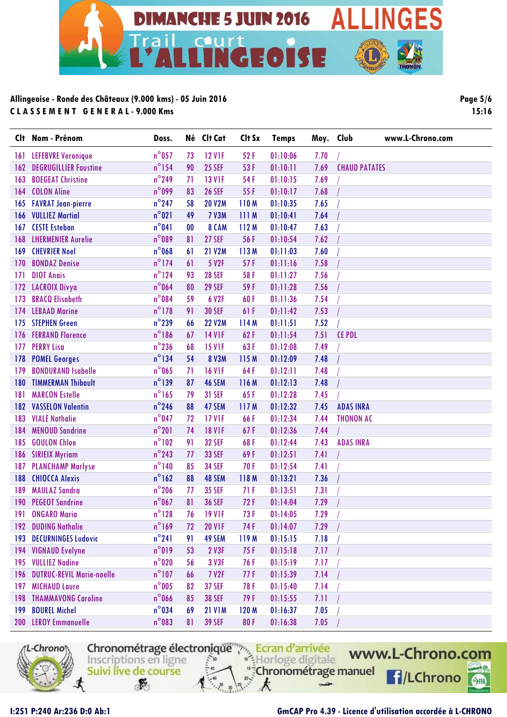

**Clt Nom - Prénom Doss. Né Clt Cat Clt Sx Temps Moy. Club www.L-Chrono.com** 161 LEFEBVRE Veronique  $n^{\circ}$ 057 73 12 V1F 52 F 01:10:06 7.70 162 DEGRUGILLIER Faustine 16<sup>°</sup>154 90 25 SEF 53 F 01:10:11 7.69 CHAUD PATATES 163 BOEGEAT Christine  $n^{\circ}249$  71 13 V1F 54 F 01:10:15 7.69 164 COLON Aline 164 P n°099 83 26 SEF 55 F 01:10:17 7.68 165 FAVRAT Jean-pierre n°247 58 20 V2M 110 M 01:10:35 7.65 / 166 VULLIEZ Martial n°021 49 7 V3M 111 M 01:10:41 7.64 / 167 CESTE Esteban n°041 00 8 CAM 112 M 01:10:47 7.63 / 168 LHERMENIER Aurelie n°089 81 27 SEF 56 F 01:10:54 7.62 / 169 CHEVRIER Noel n°068 61 21 V2M 113 M 01:11:03 7.60 / 170 BONDAZ Denise 10 m<sup>o</sup>174 61 5 V2F 57 F 01:11:16 7.58 171 DIOT Anais 171 DIOT Anais 1910 1124 93 28 SEF 58 F 01:11:27 1.56 / 172 LACROIX Divya **n°064 80 29 SEF 59 F 01:11:28** 7.56 173 BRACQ Elisabeth 10084 59 6 V2F 60 F 01:11:36 7.54 174 LEBAAD Marine n°178 91 30 SEF 61 F 01:11:42 7.53 / 175 STEPHEN Green 1988 1999 100 120 120 130 14 M 01:11:51 1.52 176 FERRAND Florence **n°186 67 14 V1F 62 F 01:11:54 7.51 CE PDL** 177 PERRY Lisa **n°236 68 15 V1F** 63 F 01:12:08 7.49 / 178 POMEL Georges 178 n°134 54 8 V3M 115 M 01:12:09 7.48 179 BONDURAND Isabelle 10 m<sup>o</sup>065 71 16 V1F 64 F 01:12:11 7.48 180 TIMMERMAN Thibault n°139 87 46 SEM 116 M 01:12:13 7.48 / 181 MARCON Estelle 181 m<sup>o</sup>165 79 31 SEF 65 F 01:12:28 7.45 182 VASSELON Valentin n°246 88 47 SEM 117 M 01:12:32 7.45 ADAS INRA 183 VIALE Nathalie 183 Ann an Collain n<sup>o</sup>047 12 17 V1F 166 F 101:12:34 17.44 THONON AC 184 MENOUD Sandrine 18 m<sup>o</sup>201 74 18 V1F 67 F 01:12:36 7.44 185 GOULON Chloe 185 COULON Chloe 185 COULON Chloe 185 COULON Chloe 185 COVID-102 91 32 SEF 68 F 01:12:44 7.43 186 SIRIEIX Myriam 186 and 187 and 188 and 189 and 189 and 189 and 189 and 189 and 189 and 189 and 189 and 18 187 PLANCHAMP Marlyse  $n^{\circ}140$  85 34 SEF 70 F 01:12:54 7.41 188 CHIOCCA Alexis n°162 88 48 SEM 118 M 01:13:21 7.36 / 189 MAULAZ Sandra n°206 77 35 SEF 71 F 01:13:51 7.31 / 190 PEGEOT Sandrine n°067 81 36 SEF 72 F 01:14:04 7.29 / 191 ONGARO Maria 1912 **n**<sup>o</sup>128 76 19 V1F 73 F 01:14:05 7.29 192 DUDING Nathalie n°169 72 20 V1F 74 F 01:14:07 7.29 / 193 DECURNINGES Ludovic n°241 91 49 SEM 119 M 01:15:15 7.18 / 194 VIGNAUD Evelyne **n°019** 53 2 V3F 75 F 01:15:18 7.17 195 VULLIEZ Nadine n°020 56 3 V3F 76 F 01:15:19 7.17 / 196 DUTRUC-REVIL Marie-noelle n°107 66 7 V2F 77 F 01:15:39 7.14 / 197 MICHAUD Laure n°005 82 37 SEF 78 F 01:15:40 7.14 / 198 THAMMAVONG Caroline 1988 1986 685 38 SEF 79 F 01:15:55 7.11 199 BOUREL Michel n°034 69 21 V1M 120 M 01:16:37 7.05 / 200 LEROY Emmanuelle n°083 81 39 SEF 80 F 01:16:38 7.05 /



Chronométrage électronique Ecran d'arrivée Horloge digitale Inscriptions en ligne "Chronométrage manuel Suivi live de course

F

www.L-Chrono.com **FI/LChrono** 

 $\circ$ 

**Page 5/6 15:16**